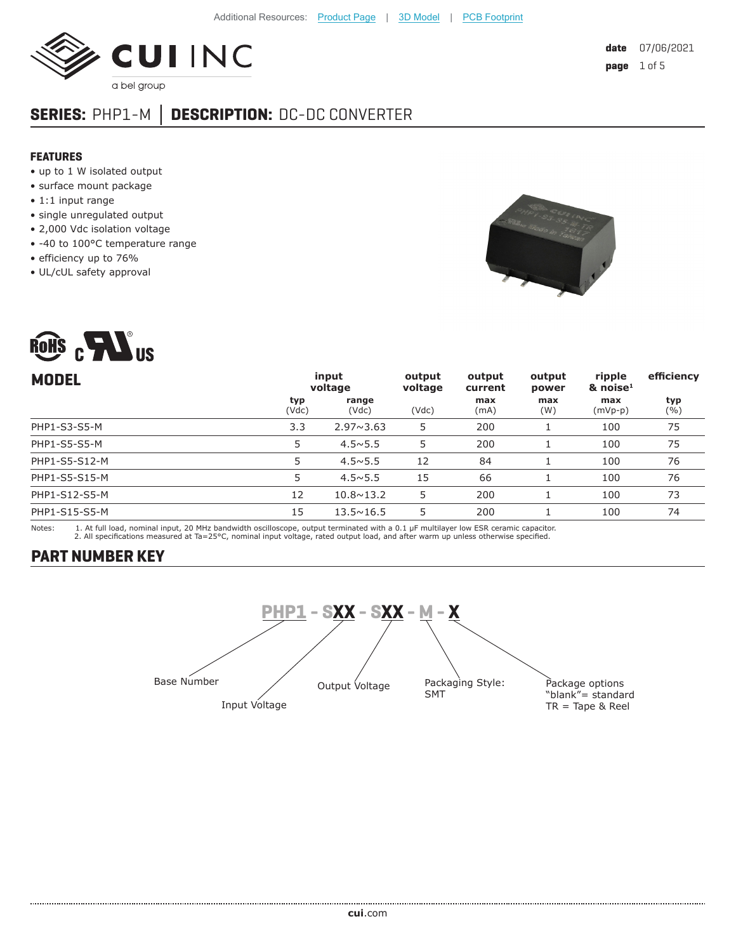

## **SERIES:** PHP1-M **│ DESCRIPTION:** DC-DC CONVERTER

#### **FEATURES**

- up to 1 W isolated output
- surface mount package
- 1:1 input range
- single unregulated output
- 2,000 Vdc isolation voltage
- -40 to 100°C temperature range
- efficiency up to 76%
- UL/cUL safety approval

ROHS CHAIS



| input<br>voltage |                    | output<br>voltage | output<br>current | output<br>power | ripple<br>$\&$ noise <sup>1</sup> | efficiency |
|------------------|--------------------|-------------------|-------------------|-----------------|-----------------------------------|------------|
| typ<br>(Vdc)     | range<br>(Vdc)     | (Vdc)             | max<br>(mA)       | max<br>(W)      | max<br>(mVp-p)                    | typ<br>(%) |
| 3.3              | $2.97 \times 3.63$ | 5                 | 200               |                 | 100                               | 75         |
| 5                | $4.5 \times 5.5$   | 5                 | 200               |                 | 100                               | 75         |
| 5                | $4.5 \times 5.5$   | 12                | 84                |                 | 100                               | 76         |
| 5                | $4.5 \times 5.5$   | 15                | 66                |                 | 100                               | 76         |
| 12               | $10.8 \times 13.2$ | 5                 | 200               |                 | 100                               | 73         |
| 15               | $13.5 \times 16.5$ | 5                 | 200               |                 | 100                               | 74         |
|                  |                    |                   |                   |                 |                                   |            |

Notes: 1. At full load, nominal input, 20 MHz bandwidth oscilloscope, output terminated with a 0.1 μF multilayer low ESR ceramic capacitor.<br>2. All specifications measured at Ta=25°C, nominal input voltage, rated o

#### **PART NUMBER KEY**

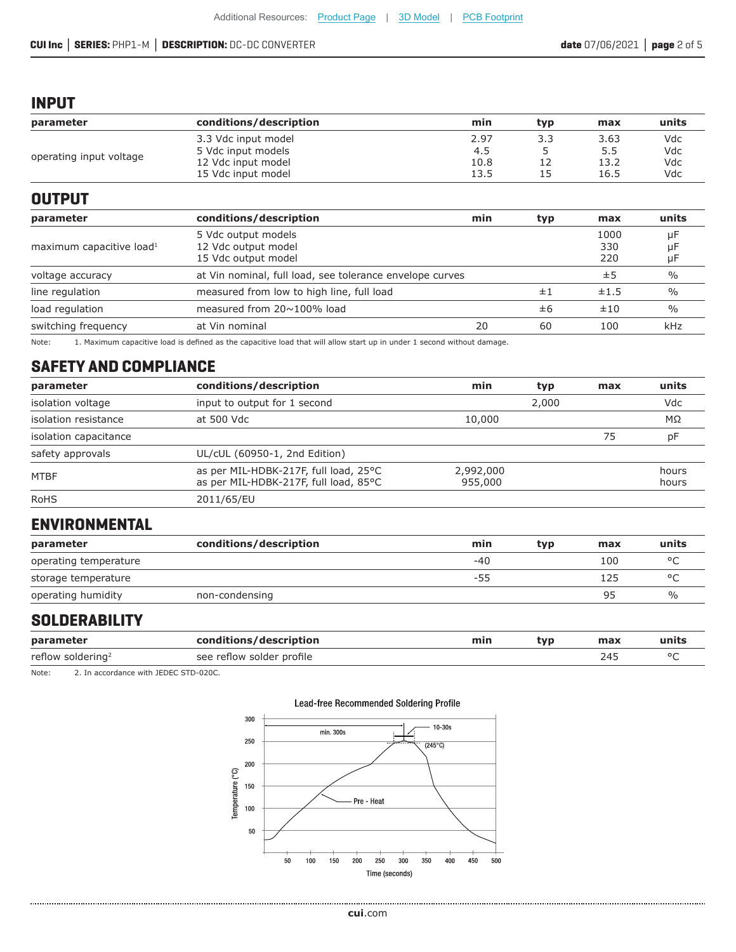#### **CUI Inc │ SERIES:** PHP1-M **│ DESCRIPTION:** DC-DC CONVERTER **date** 07/06/2021 **│ page** 2 of 5

#### **INPUT**

| parameter               | conditions/description | min  | tvp | max  | units |
|-------------------------|------------------------|------|-----|------|-------|
| operating input voltage | 3.3 Vdc input model    | 2.97 |     | 3.63 | Vdc   |
|                         | 5 Vdc input models     | 4.5  |     | 5.5  | Vdc   |
|                         | 12 Vdc input model     | 10.8 |     | 13.2 | Vdc   |
|                         | 15 Vdc input model     | 13.5 |     | 16.5 | Vdc   |

#### **OUTPUT**

| parameter                            | conditions/description                                   | min | typ | max  | units         |
|--------------------------------------|----------------------------------------------------------|-----|-----|------|---------------|
|                                      | 5 Vdc output models                                      |     |     | 1000 | uF            |
| maximum capacitive load <sup>1</sup> | 12 Vdc output model                                      |     |     | 330  | μF            |
|                                      | 15 Vdc output model                                      |     |     | 220  | μF            |
| voltage accuracy                     | at Vin nominal, full load, see tolerance envelope curves |     |     | ±5   | $\frac{0}{0}$ |
| line regulation                      | measured from low to high line, full load                |     | ±1  | ±1.5 | $\frac{0}{0}$ |
| load regulation                      | measured from $20 \sim 100\%$ load                       |     | ±6  | ±10  | $\frac{0}{0}$ |
| switching frequency                  | at Vin nominal                                           | 20  | 60  | 100  | kHz           |

Note: 1. Maximum capacitive load is defined as the capacitive load that will allow start up in under 1 second without damage.

## **SAFETY AND COMPLIANCE**

| parameter             | conditions/description                                                         | min                  | typ   | max | units          |
|-----------------------|--------------------------------------------------------------------------------|----------------------|-------|-----|----------------|
| isolation voltage     | input to output for 1 second                                                   |                      | 2,000 |     | Vdc            |
| isolation resistance  | at 500 Vdc                                                                     | 10,000               |       |     | $M\Omega$      |
| isolation capacitance |                                                                                |                      |       | 75  | рF             |
| safety approvals      | UL/cUL (60950-1, 2nd Edition)                                                  |                      |       |     |                |
| <b>MTBF</b>           | as per MIL-HDBK-217F, full load, 25°C<br>as per MIL-HDBK-217F, full load, 85°C | 2,992,000<br>955,000 |       |     | hours<br>hours |
| <b>RoHS</b>           | 2011/65/EU                                                                     |                      |       |     |                |

## **ENVIRONMENTAL**

| parameter             | conditions/description | min | typ | max | units   |
|-----------------------|------------------------|-----|-----|-----|---------|
| operating temperature |                        | -40 |     | 100 |         |
| storage temperature   |                        | -55 |     | 125 | $\circ$ |
| operating humidity    | non-condensing         |     |     | 95  | $\%$    |

#### **SOLDERABILITY**

.....................

| parameter                     | conditions/description    | min | tvp | max | units |
|-------------------------------|---------------------------|-----|-----|-----|-------|
| reflow soldering <sup>2</sup> | see reflow solder profile |     |     | 24. |       |

Note: 2. In accordance with JEDEC STD-020C.

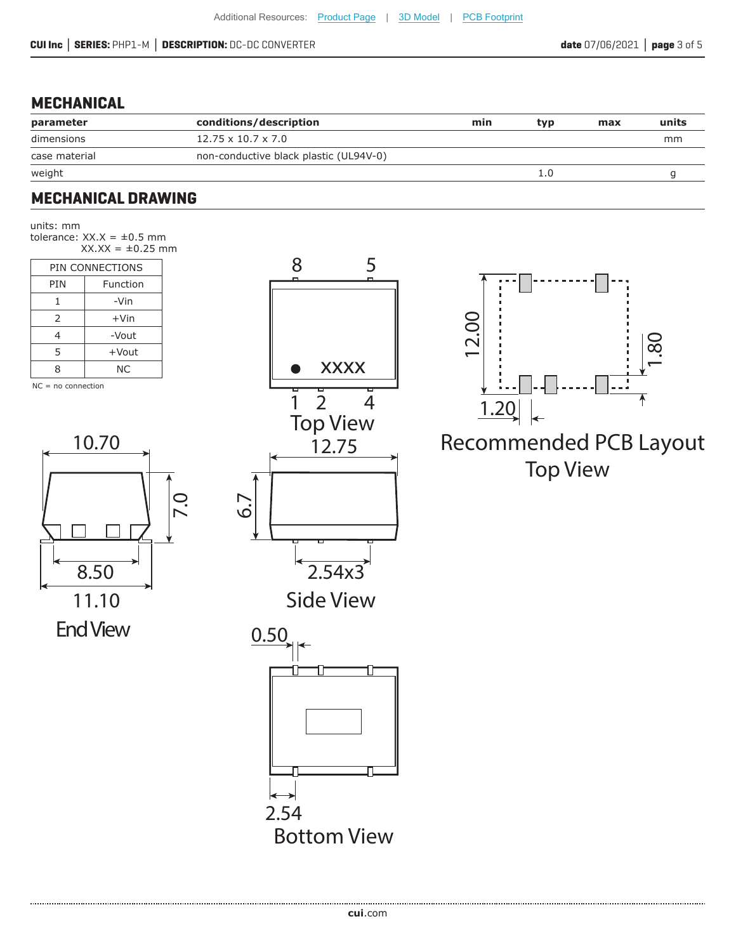### **MECHANICAL**

| parameter     | conditions/description                 | min | tvp | max | units |
|---------------|----------------------------------------|-----|-----|-----|-------|
| dimensions    | $12.75 \times 10.7 \times 7.0$         |     |     |     | mm    |
| case material | non-conductive black plastic (UL94V-0) |     |     |     |       |
| weight        |                                        |     |     |     |       |

## **MECHANICAL DRAWING**

units: mm tolerance:  $XX.X = \pm 0.5$  mm  $XX.X = \pm 0.25$  mm

|     | PIN CONNECTIONS |  |  |  |
|-----|-----------------|--|--|--|
| PIN | Function        |  |  |  |
| 1   | -Vin            |  |  |  |
| 2   | $+V$ in         |  |  |  |
| 4   | -Vout           |  |  |  |
| 5   | +Vout           |  |  |  |
| 8   | ΝC              |  |  |  |
|     |                 |  |  |  |

 $NC = no$  connection



End View





# Top View 12.75 Recommended PCB Layout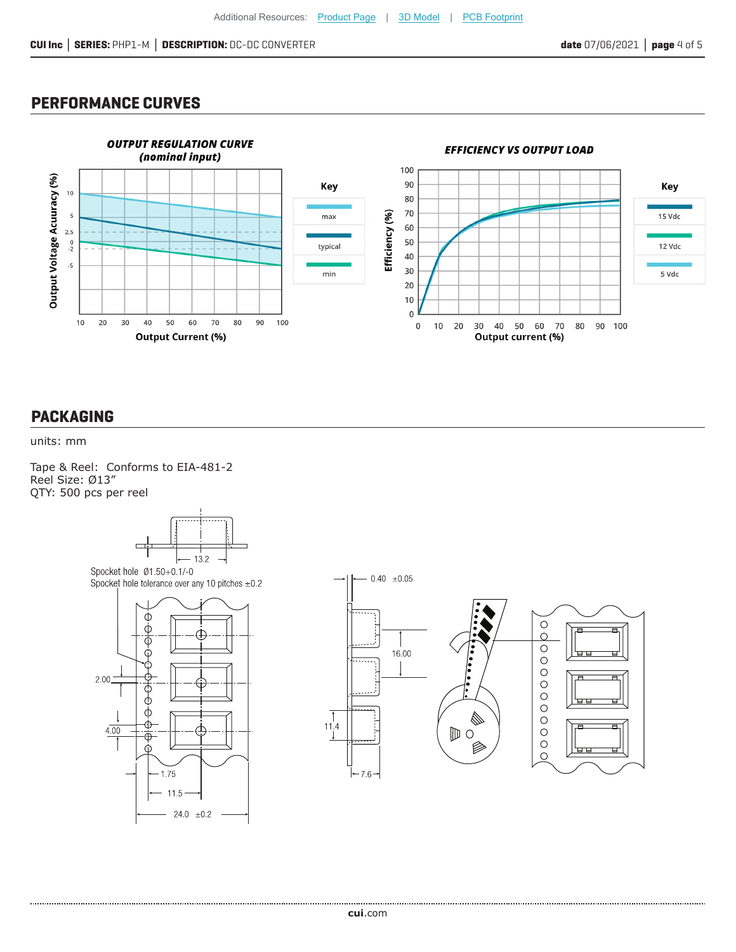#### **PERFORMANCE CURVES**



#### **PACKAGING**

#### units: mm

Tape & Reel: Conforms to EIA-481-2 Reel Size: Ø13" QTY: 500 pcs per reel